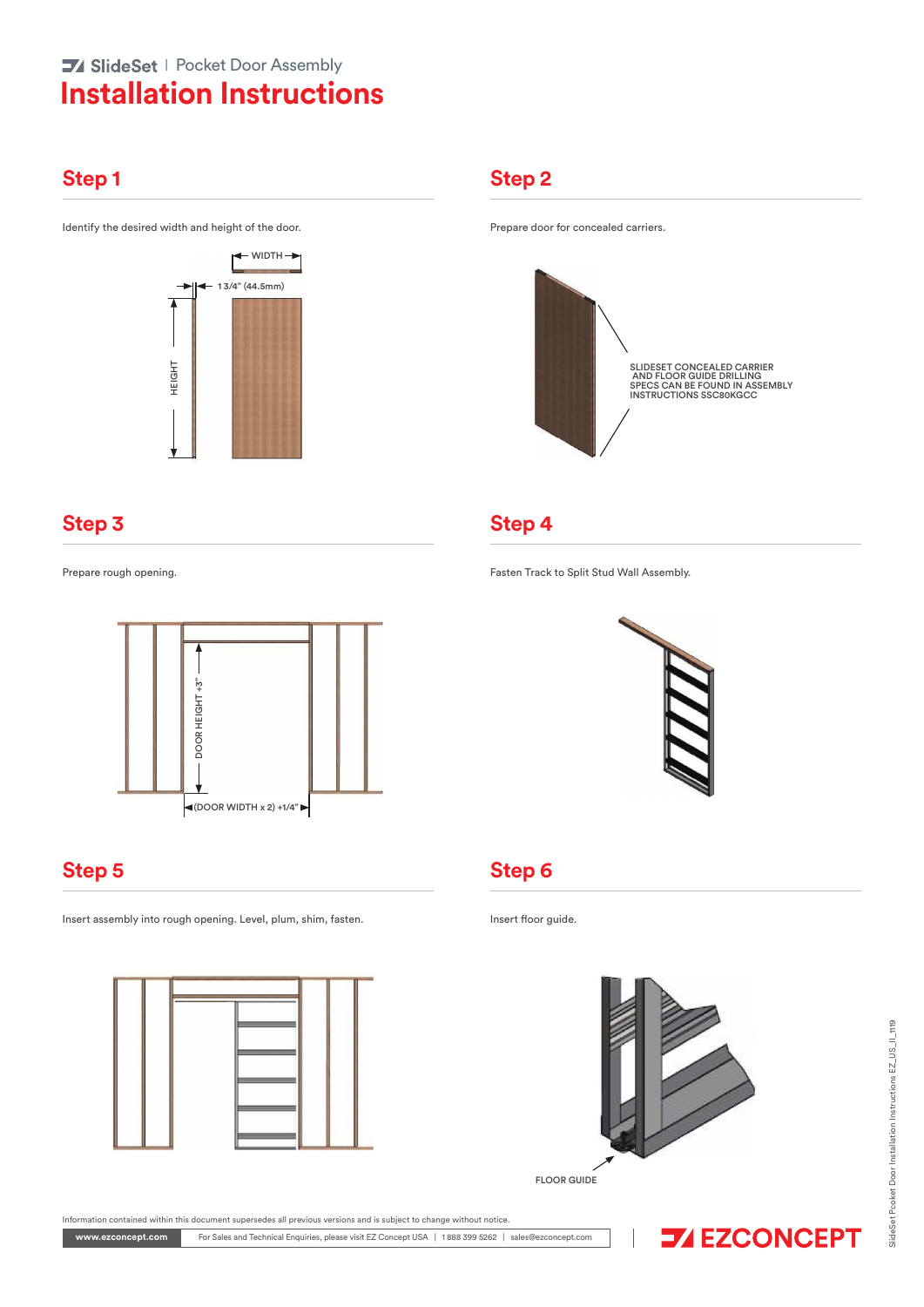# **Installation Instructions 74 SlideSet** | Pocket Door Assembly

### **Step 1 Step 2**

Identify the desired width and height of the door. **Prepare door for concealed carriers.** 



# **Step 3 Step 4**



Insert assembly into rough opening. Level, plum, shim, fasten. Insert floor guide.



### Information contained within this document supersedes all previous versions and is subject to change without notice.

For Sales and Technical Enquiries, please visit EZ Concept USA | 1 888 399 5262 | sales@ezconcept.com **www.ezconcept.com**



Prepare rough opening. Fasten Track to Split Stud Wall Assembly.



### **Step 5 Step 6**